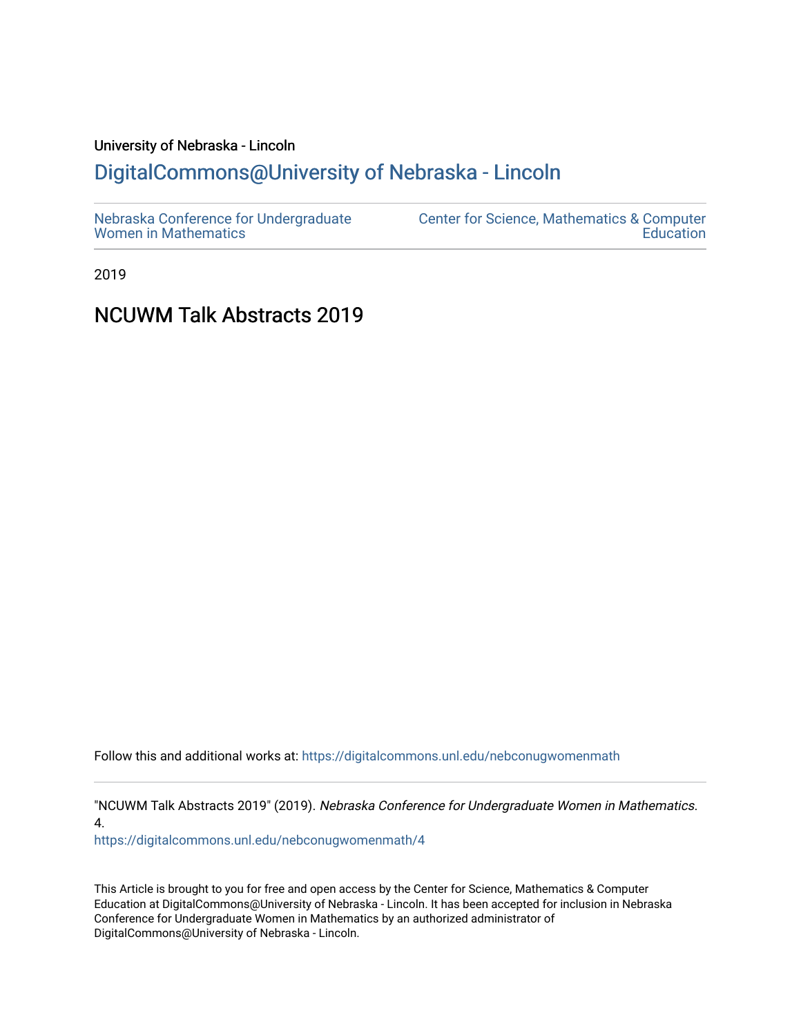# University of Nebraska - Lincoln [DigitalCommons@University of Nebraska - Lincoln](https://digitalcommons.unl.edu/)

2019

## NCUWM Talk Abstracts 2019

Follow this and additional works at: [https://digitalcommons.unl.edu/nebconugwomenmath](https://digitalcommons.unl.edu/nebconugwomenmath?utm_source=digitalcommons.unl.edu%2Fnebconugwomenmath%2F4&utm_medium=PDF&utm_campaign=PDFCoverPages)

"NCUWM Talk Abstracts 2019" (2019). Nebraska Conference for Undergraduate Women in Mathematics. 4.

[https://digitalcommons.unl.edu/nebconugwomenmath/4](https://digitalcommons.unl.edu/nebconugwomenmath/4?utm_source=digitalcommons.unl.edu%2Fnebconugwomenmath%2F4&utm_medium=PDF&utm_campaign=PDFCoverPages)

This Article is brought to you for free and open access by the Center for Science, Mathematics & Computer Education at DigitalCommons@University of Nebraska - Lincoln. It has been accepted for inclusion in Nebraska Conference for Undergraduate Women in Mathematics by an authorized administrator of DigitalCommons@University of Nebraska - Lincoln.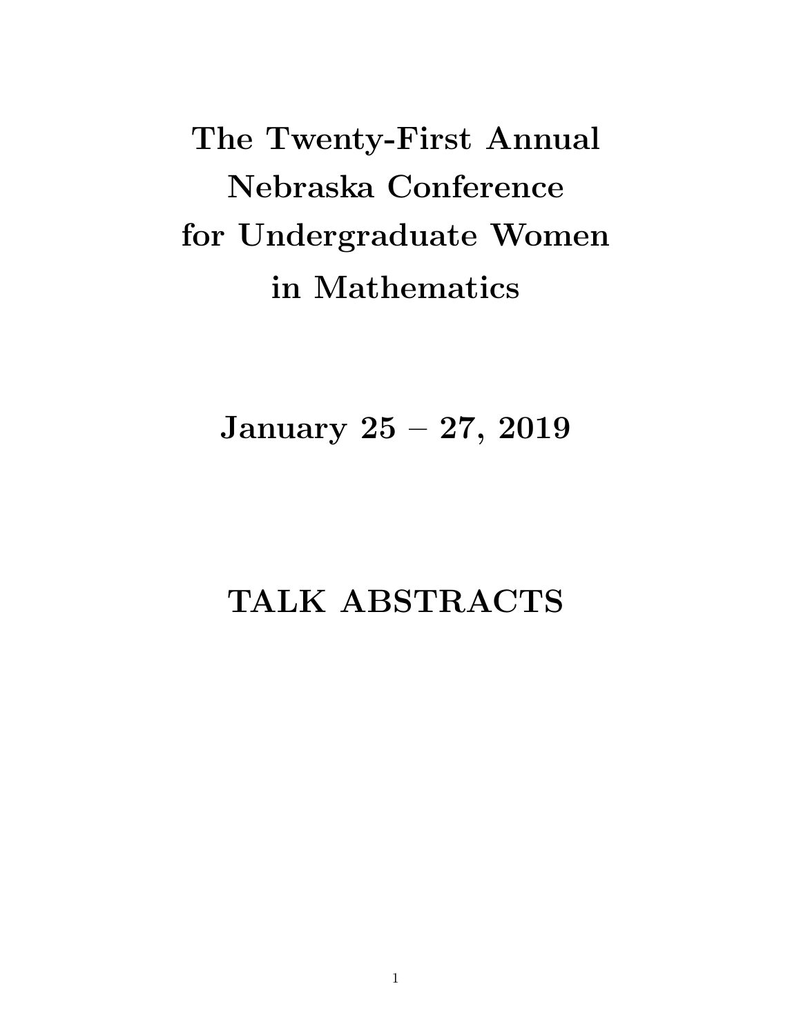The Twenty-First Annual Nebraska Conference for Undergraduate Women in Mathematics

January 25 – 27, 2019

# TALK ABSTRACTS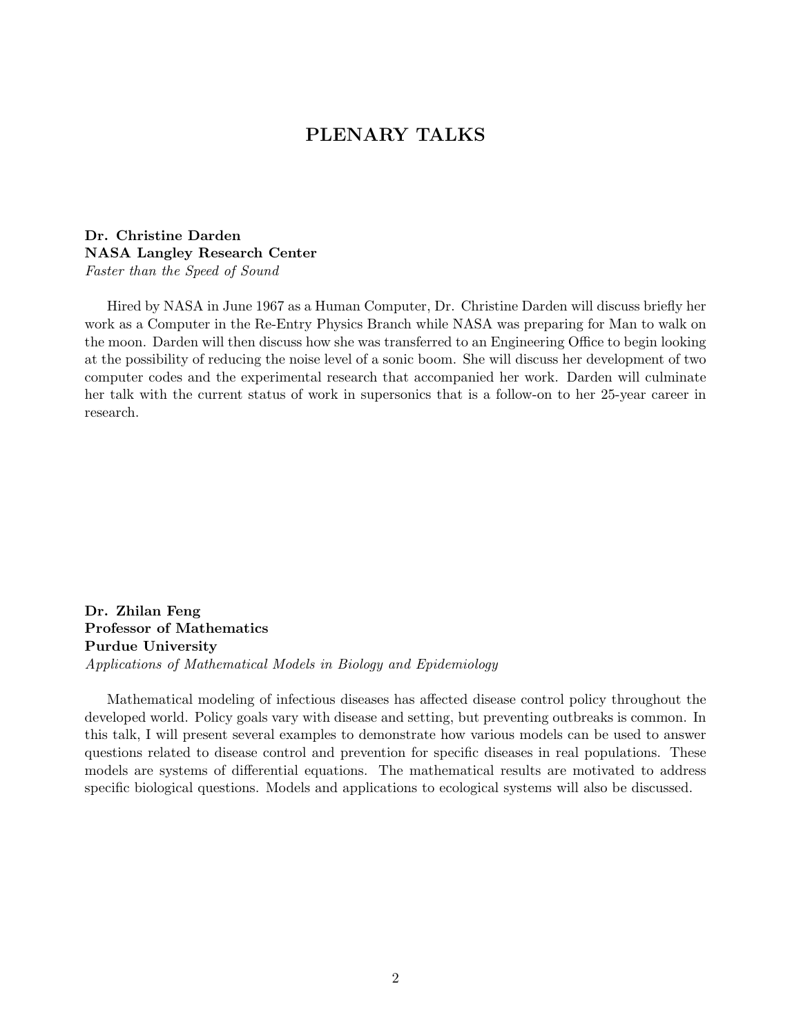## PLENARY TALKS

## Dr. Christine Darden NASA Langley Research Center Faster than the Speed of Sound

Hired by NASA in June 1967 as a Human Computer, Dr. Christine Darden will discuss briefly her work as a Computer in the Re-Entry Physics Branch while NASA was preparing for Man to walk on the moon. Darden will then discuss how she was transferred to an Engineering Office to begin looking at the possibility of reducing the noise level of a sonic boom. She will discuss her development of two computer codes and the experimental research that accompanied her work. Darden will culminate her talk with the current status of work in supersonics that is a follow-on to her 25-year career in research.

Dr. Zhilan Feng Professor of Mathematics Purdue University Applications of Mathematical Models in Biology and Epidemiology

Mathematical modeling of infectious diseases has affected disease control policy throughout the developed world. Policy goals vary with disease and setting, but preventing outbreaks is common. In this talk, I will present several examples to demonstrate how various models can be used to answer questions related to disease control and prevention for specific diseases in real populations. These models are systems of differential equations. The mathematical results are motivated to address specific biological questions. Models and applications to ecological systems will also be discussed.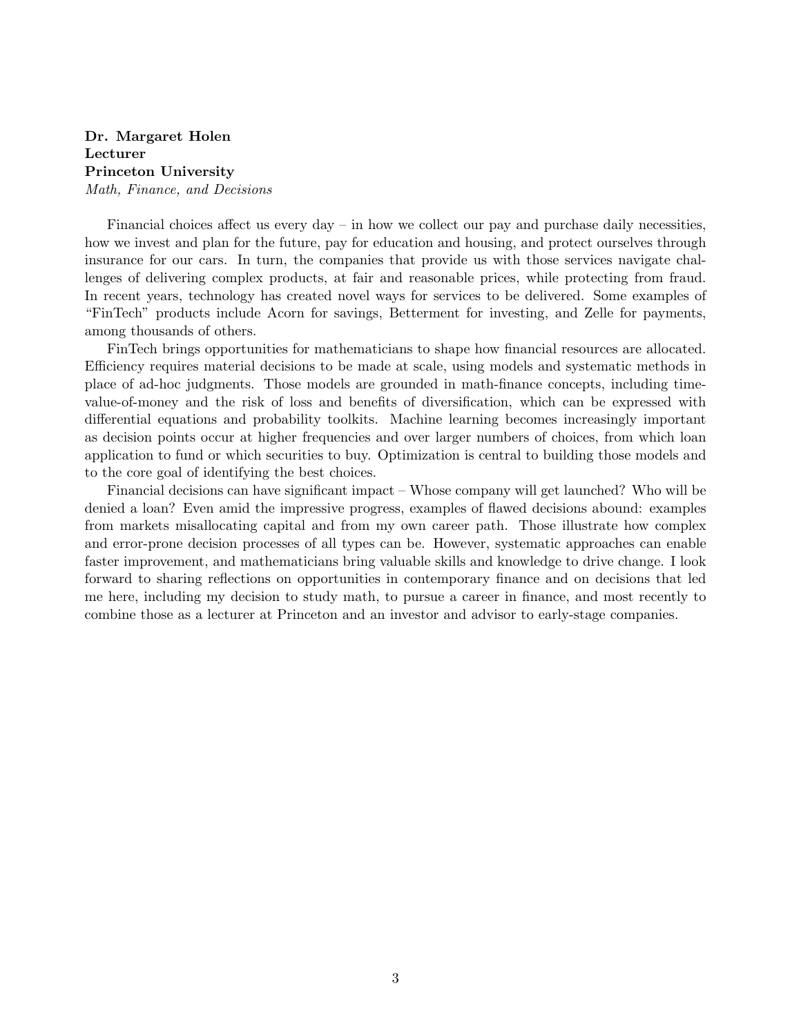## Dr. Margaret Holen Lecturer Princeton University Math, Finance, and Decisions

Financial choices affect us every day – in how we collect our pay and purchase daily necessities, how we invest and plan for the future, pay for education and housing, and protect ourselves through insurance for our cars. In turn, the companies that provide us with those services navigate challenges of delivering complex products, at fair and reasonable prices, while protecting from fraud. In recent years, technology has created novel ways for services to be delivered. Some examples of "FinTech" products include Acorn for savings, Betterment for investing, and Zelle for payments, among thousands of others.

FinTech brings opportunities for mathematicians to shape how financial resources are allocated. Efficiency requires material decisions to be made at scale, using models and systematic methods in place of ad-hoc judgments. Those models are grounded in math-finance concepts, including timevalue-of-money and the risk of loss and benefits of diversification, which can be expressed with differential equations and probability toolkits. Machine learning becomes increasingly important as decision points occur at higher frequencies and over larger numbers of choices, from which loan application to fund or which securities to buy. Optimization is central to building those models and to the core goal of identifying the best choices.

Financial decisions can have significant impact – Whose company will get launched? Who will be denied a loan? Even amid the impressive progress, examples of flawed decisions abound: examples from markets misallocating capital and from my own career path. Those illustrate how complex and error-prone decision processes of all types can be. However, systematic approaches can enable faster improvement, and mathematicians bring valuable skills and knowledge to drive change. I look forward to sharing reflections on opportunities in contemporary finance and on decisions that led me here, including my decision to study math, to pursue a career in finance, and most recently to combine those as a lecturer at Princeton and an investor and advisor to early-stage companies.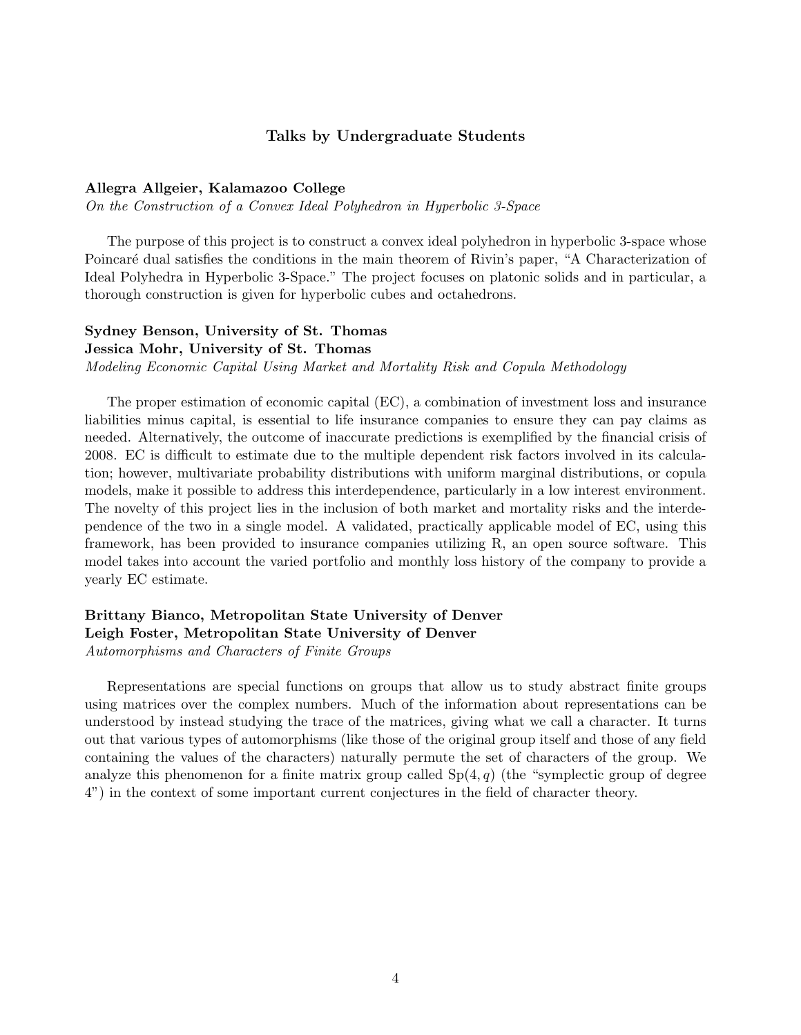## Talks by Undergraduate Students

#### Allegra Allgeier, Kalamazoo College

On the Construction of a Convex Ideal Polyhedron in Hyperbolic 3-Space

The purpose of this project is to construct a convex ideal polyhedron in hyperbolic 3-space whose Poincaré dual satisfies the conditions in the main theorem of Rivin's paper, "A Characterization of Ideal Polyhedra in Hyperbolic 3-Space." The project focuses on platonic solids and in particular, a thorough construction is given for hyperbolic cubes and octahedrons.

## Sydney Benson, University of St. Thomas

#### Jessica Mohr, University of St. Thomas

Modeling Economic Capital Using Market and Mortality Risk and Copula Methodology

The proper estimation of economic capital (EC), a combination of investment loss and insurance liabilities minus capital, is essential to life insurance companies to ensure they can pay claims as needed. Alternatively, the outcome of inaccurate predictions is exemplified by the financial crisis of 2008. EC is difficult to estimate due to the multiple dependent risk factors involved in its calculation; however, multivariate probability distributions with uniform marginal distributions, or copula models, make it possible to address this interdependence, particularly in a low interest environment. The novelty of this project lies in the inclusion of both market and mortality risks and the interdependence of the two in a single model. A validated, practically applicable model of EC, using this framework, has been provided to insurance companies utilizing R, an open source software. This model takes into account the varied portfolio and monthly loss history of the company to provide a yearly EC estimate.

## Brittany Bianco, Metropolitan State University of Denver Leigh Foster, Metropolitan State University of Denver Automorphisms and Characters of Finite Groups

Representations are special functions on groups that allow us to study abstract finite groups using matrices over the complex numbers. Much of the information about representations can be understood by instead studying the trace of the matrices, giving what we call a character. It turns out that various types of automorphisms (like those of the original group itself and those of any field containing the values of the characters) naturally permute the set of characters of the group. We analyze this phenomenon for a finite matrix group called  $Sp(4,q)$  (the "symplectic group of degree 4") in the context of some important current conjectures in the field of character theory.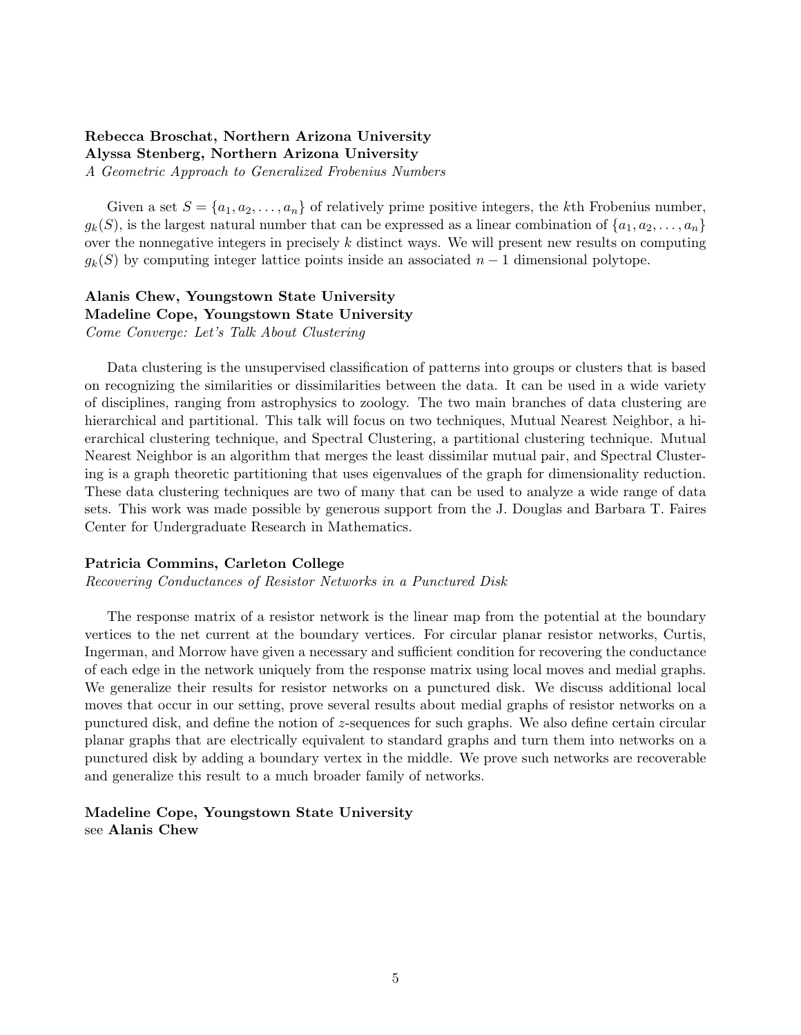## Rebecca Broschat, Northern Arizona University Alyssa Stenberg, Northern Arizona University

A Geometric Approach to Generalized Frobenius Numbers

Given a set  $S = \{a_1, a_2, \ldots, a_n\}$  of relatively prime positive integers, the kth Frobenius number,  $g_k(S)$ , is the largest natural number that can be expressed as a linear combination of  $\{a_1, a_2, \ldots, a_n\}$ over the nonnegative integers in precisely  $k$  distinct ways. We will present new results on computing  $g_k(S)$  by computing integer lattice points inside an associated  $n-1$  dimensional polytope.

## Alanis Chew, Youngstown State University Madeline Cope, Youngstown State University Come Converge: Let's Talk About Clustering

Data clustering is the unsupervised classification of patterns into groups or clusters that is based on recognizing the similarities or dissimilarities between the data. It can be used in a wide variety of disciplines, ranging from astrophysics to zoology. The two main branches of data clustering are hierarchical and partitional. This talk will focus on two techniques, Mutual Nearest Neighbor, a hierarchical clustering technique, and Spectral Clustering, a partitional clustering technique. Mutual Nearest Neighbor is an algorithm that merges the least dissimilar mutual pair, and Spectral Clustering is a graph theoretic partitioning that uses eigenvalues of the graph for dimensionality reduction. These data clustering techniques are two of many that can be used to analyze a wide range of data sets. This work was made possible by generous support from the J. Douglas and Barbara T. Faires Center for Undergraduate Research in Mathematics.

## Patricia Commins, Carleton College

Recovering Conductances of Resistor Networks in a Punctured Disk

The response matrix of a resistor network is the linear map from the potential at the boundary vertices to the net current at the boundary vertices. For circular planar resistor networks, Curtis, Ingerman, and Morrow have given a necessary and sufficient condition for recovering the conductance of each edge in the network uniquely from the response matrix using local moves and medial graphs. We generalize their results for resistor networks on a punctured disk. We discuss additional local moves that occur in our setting, prove several results about medial graphs of resistor networks on a punctured disk, and define the notion of z-sequences for such graphs. We also define certain circular planar graphs that are electrically equivalent to standard graphs and turn them into networks on a punctured disk by adding a boundary vertex in the middle. We prove such networks are recoverable and generalize this result to a much broader family of networks.

## Madeline Cope, Youngstown State University see Alanis Chew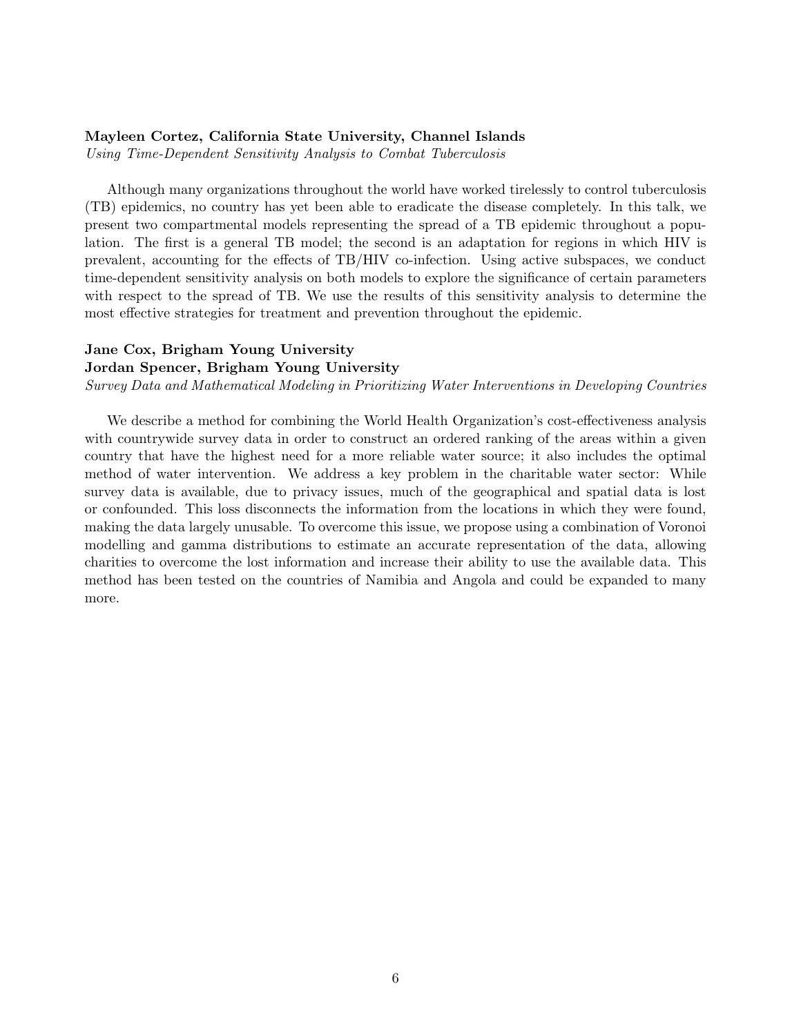#### Mayleen Cortez, California State University, Channel Islands

Using Time-Dependent Sensitivity Analysis to Combat Tuberculosis

Although many organizations throughout the world have worked tirelessly to control tuberculosis (TB) epidemics, no country has yet been able to eradicate the disease completely. In this talk, we present two compartmental models representing the spread of a TB epidemic throughout a population. The first is a general TB model; the second is an adaptation for regions in which HIV is prevalent, accounting for the effects of TB/HIV co-infection. Using active subspaces, we conduct time-dependent sensitivity analysis on both models to explore the significance of certain parameters with respect to the spread of TB. We use the results of this sensitivity analysis to determine the most effective strategies for treatment and prevention throughout the epidemic.

## Jane Cox, Brigham Young University

#### Jordan Spencer, Brigham Young University

Survey Data and Mathematical Modeling in Prioritizing Water Interventions in Developing Countries

We describe a method for combining the World Health Organization's cost-effectiveness analysis with countrywide survey data in order to construct an ordered ranking of the areas within a given country that have the highest need for a more reliable water source; it also includes the optimal method of water intervention. We address a key problem in the charitable water sector: While survey data is available, due to privacy issues, much of the geographical and spatial data is lost or confounded. This loss disconnects the information from the locations in which they were found, making the data largely unusable. To overcome this issue, we propose using a combination of Voronoi modelling and gamma distributions to estimate an accurate representation of the data, allowing charities to overcome the lost information and increase their ability to use the available data. This method has been tested on the countries of Namibia and Angola and could be expanded to many more.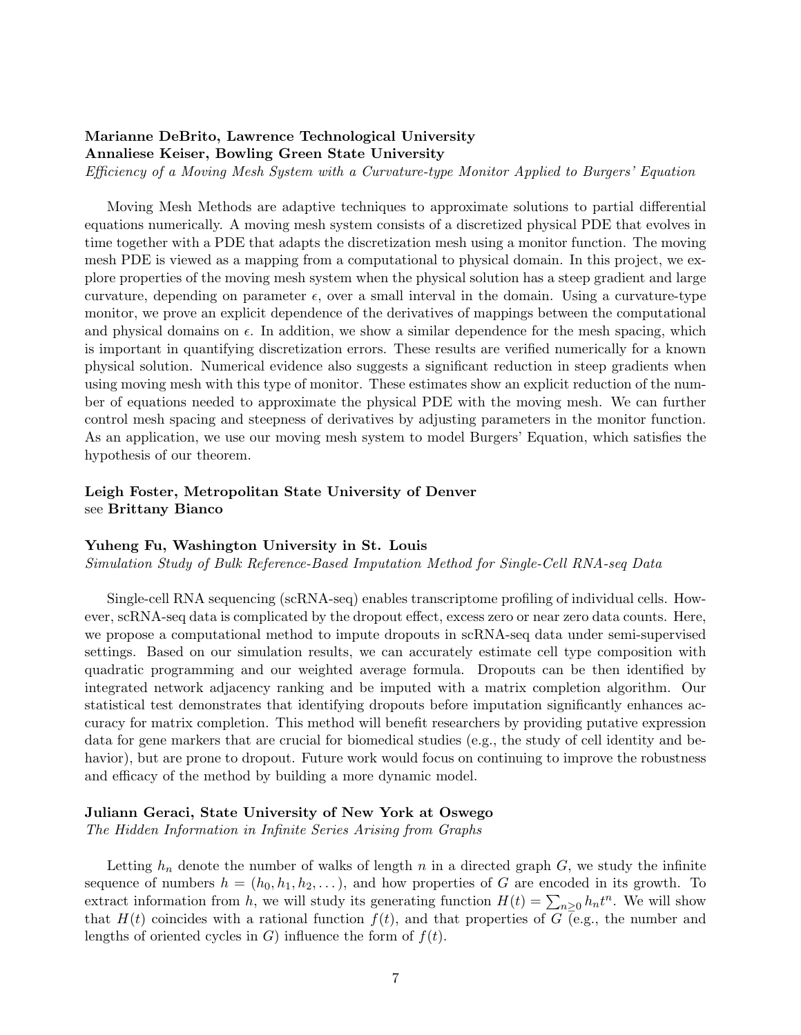## Marianne DeBrito, Lawrence Technological University Annaliese Keiser, Bowling Green State University

Efficiency of a Moving Mesh System with a Curvature-type Monitor Applied to Burgers' Equation

Moving Mesh Methods are adaptive techniques to approximate solutions to partial differential equations numerically. A moving mesh system consists of a discretized physical PDE that evolves in time together with a PDE that adapts the discretization mesh using a monitor function. The moving mesh PDE is viewed as a mapping from a computational to physical domain. In this project, we explore properties of the moving mesh system when the physical solution has a steep gradient and large curvature, depending on parameter  $\epsilon$ , over a small interval in the domain. Using a curvature-type monitor, we prove an explicit dependence of the derivatives of mappings between the computational and physical domains on  $\epsilon$ . In addition, we show a similar dependence for the mesh spacing, which is important in quantifying discretization errors. These results are verified numerically for a known physical solution. Numerical evidence also suggests a significant reduction in steep gradients when using moving mesh with this type of monitor. These estimates show an explicit reduction of the number of equations needed to approximate the physical PDE with the moving mesh. We can further control mesh spacing and steepness of derivatives by adjusting parameters in the monitor function. As an application, we use our moving mesh system to model Burgers' Equation, which satisfies the hypothesis of our theorem.

## Leigh Foster, Metropolitan State University of Denver see Brittany Bianco

## Yuheng Fu, Washington University in St. Louis

Simulation Study of Bulk Reference-Based Imputation Method for Single-Cell RNA-seq Data

Single-cell RNA sequencing (scRNA-seq) enables transcriptome profiling of individual cells. However, scRNA-seq data is complicated by the dropout effect, excess zero or near zero data counts. Here, we propose a computational method to impute dropouts in scRNA-seq data under semi-supervised settings. Based on our simulation results, we can accurately estimate cell type composition with quadratic programming and our weighted average formula. Dropouts can be then identified by integrated network adjacency ranking and be imputed with a matrix completion algorithm. Our statistical test demonstrates that identifying dropouts before imputation significantly enhances accuracy for matrix completion. This method will benefit researchers by providing putative expression data for gene markers that are crucial for biomedical studies (e.g., the study of cell identity and behavior), but are prone to dropout. Future work would focus on continuing to improve the robustness and efficacy of the method by building a more dynamic model.

## Juliann Geraci, State University of New York at Oswego

The Hidden Information in Infinite Series Arising from Graphs

Letting  $h_n$  denote the number of walks of length n in a directed graph  $G$ , we study the infinite sequence of numbers  $h = (h_0, h_1, h_2, \ldots)$ , and how properties of G are encoded in its growth. To extract information from h, we will study its generating function  $H(t) = \sum_{n\geq 0} h_n t^n$ . We will show that  $H(t)$  coincides with a rational function  $f(t)$ , and that properties of G (e.g., the number and lengths of oriented cycles in  $G$ ) influence the form of  $f(t)$ .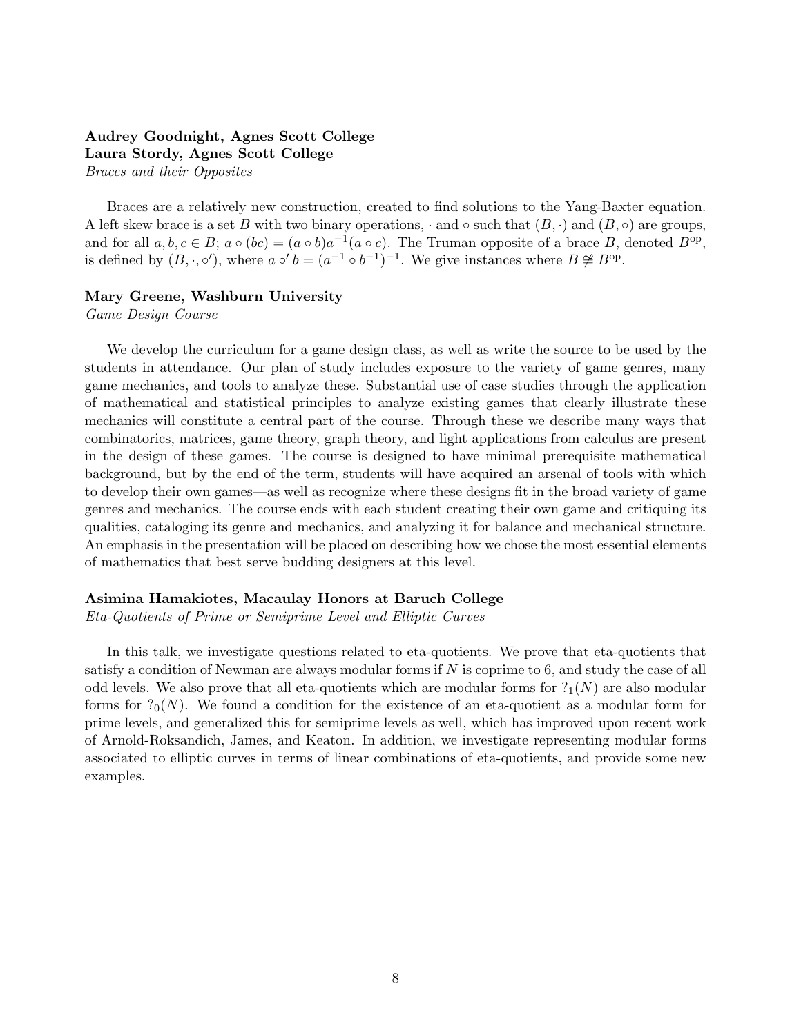## Audrey Goodnight, Agnes Scott College Laura Stordy, Agnes Scott College

Braces and their Opposites

Braces are a relatively new construction, created to find solutions to the Yang-Baxter equation. A left skew brace is a set B with two binary operations,  $\cdot$  and  $\circ$  such that  $(B, \cdot)$  and  $(B, \circ)$  are groups, and for all  $a, b, c \in B$ ;  $a \circ (bc) = (a \circ b)a^{-1}(a \circ c)$ . The Truman opposite of a brace B, denoted  $B^{\rm op}$ , is defined by  $(B, \cdot, \circ')$ , where  $a \circ' b = (a^{-1} \circ b^{-1})^{-1}$ . We give instances where  $B \not\cong B^{\text{op}}$ .

## Mary Greene, Washburn University

Game Design Course

We develop the curriculum for a game design class, as well as write the source to be used by the students in attendance. Our plan of study includes exposure to the variety of game genres, many game mechanics, and tools to analyze these. Substantial use of case studies through the application of mathematical and statistical principles to analyze existing games that clearly illustrate these mechanics will constitute a central part of the course. Through these we describe many ways that combinatorics, matrices, game theory, graph theory, and light applications from calculus are present in the design of these games. The course is designed to have minimal prerequisite mathematical background, but by the end of the term, students will have acquired an arsenal of tools with which to develop their own games—as well as recognize where these designs fit in the broad variety of game genres and mechanics. The course ends with each student creating their own game and critiquing its qualities, cataloging its genre and mechanics, and analyzing it for balance and mechanical structure. An emphasis in the presentation will be placed on describing how we chose the most essential elements of mathematics that best serve budding designers at this level.

## Asimina Hamakiotes, Macaulay Honors at Baruch College

Eta-Quotients of Prime or Semiprime Level and Elliptic Curves

In this talk, we investigate questions related to eta-quotients. We prove that eta-quotients that satisfy a condition of Newman are always modular forms if  $N$  is coprime to 6, and study the case of all odd levels. We also prove that all eta-quotients which are modular forms for  $?<sub>1</sub>(N)$  are also modular forms for  $?_0(N)$ . We found a condition for the existence of an eta-quotient as a modular form for prime levels, and generalized this for semiprime levels as well, which has improved upon recent work of Arnold-Roksandich, James, and Keaton. In addition, we investigate representing modular forms associated to elliptic curves in terms of linear combinations of eta-quotients, and provide some new examples.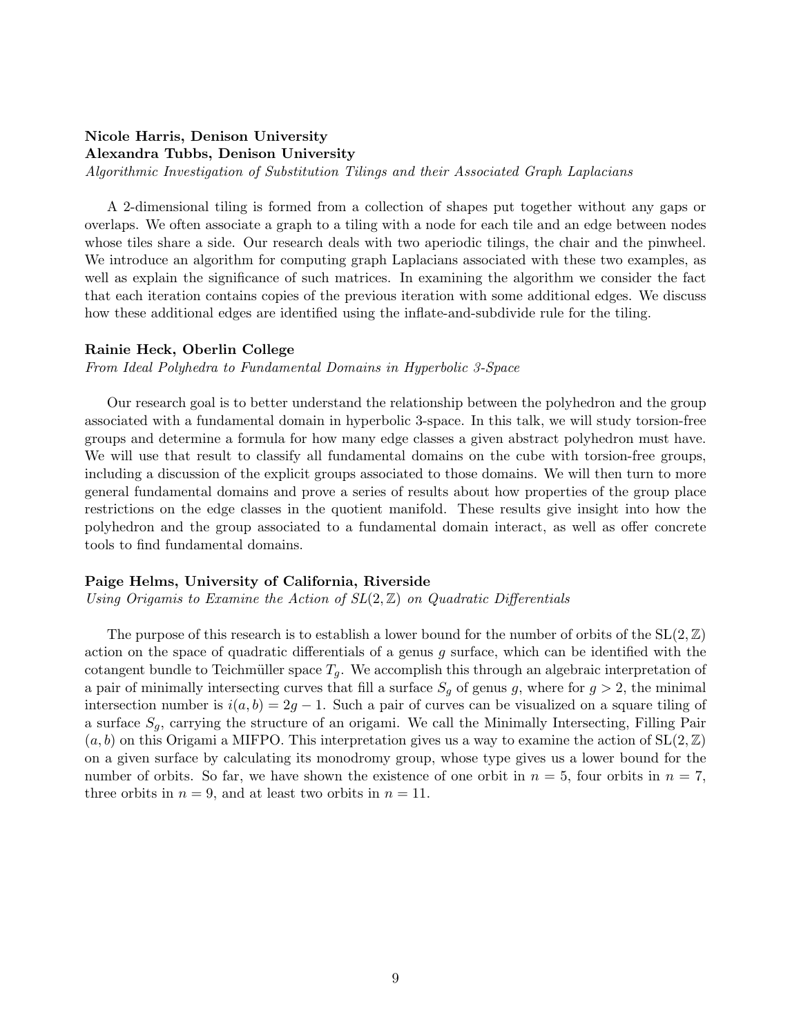## Nicole Harris, Denison University Alexandra Tubbs, Denison University

Algorithmic Investigation of Substitution Tilings and their Associated Graph Laplacians

A 2-dimensional tiling is formed from a collection of shapes put together without any gaps or overlaps. We often associate a graph to a tiling with a node for each tile and an edge between nodes whose tiles share a side. Our research deals with two aperiodic tilings, the chair and the pinwheel. We introduce an algorithm for computing graph Laplacians associated with these two examples, as well as explain the significance of such matrices. In examining the algorithm we consider the fact that each iteration contains copies of the previous iteration with some additional edges. We discuss how these additional edges are identified using the inflate-and-subdivide rule for the tiling.

#### Rainie Heck, Oberlin College

From Ideal Polyhedra to Fundamental Domains in Hyperbolic 3-Space

Our research goal is to better understand the relationship between the polyhedron and the group associated with a fundamental domain in hyperbolic 3-space. In this talk, we will study torsion-free groups and determine a formula for how many edge classes a given abstract polyhedron must have. We will use that result to classify all fundamental domains on the cube with torsion-free groups, including a discussion of the explicit groups associated to those domains. We will then turn to more general fundamental domains and prove a series of results about how properties of the group place restrictions on the edge classes in the quotient manifold. These results give insight into how the polyhedron and the group associated to a fundamental domain interact, as well as offer concrete tools to find fundamental domains.

#### Paige Helms, University of California, Riverside

Using Origamis to Examine the Action of  $SL(2, \mathbb{Z})$  on Quadratic Differentials

The purpose of this research is to establish a lower bound for the number of orbits of the  $SL(2,\mathbb{Z})$ action on the space of quadratic differentials of a genus  $g$  surface, which can be identified with the cotangent bundle to Teichmüller space  $T_q$ . We accomplish this through an algebraic interpretation of a pair of minimally intersecting curves that fill a surface  $S_q$  of genus g, where for  $g > 2$ , the minimal intersection number is  $i(a, b) = 2g - 1$ . Such a pair of curves can be visualized on a square tiling of a surface  $S_q$ , carrying the structure of an origami. We call the Minimally Intersecting, Filling Pair  $(a, b)$  on this Origami a MIFPO. This interpretation gives us a way to examine the action of  $SL(2, \mathbb{Z})$ on a given surface by calculating its monodromy group, whose type gives us a lower bound for the number of orbits. So far, we have shown the existence of one orbit in  $n = 5$ , four orbits in  $n = 7$ , three orbits in  $n = 9$ , and at least two orbits in  $n = 11$ .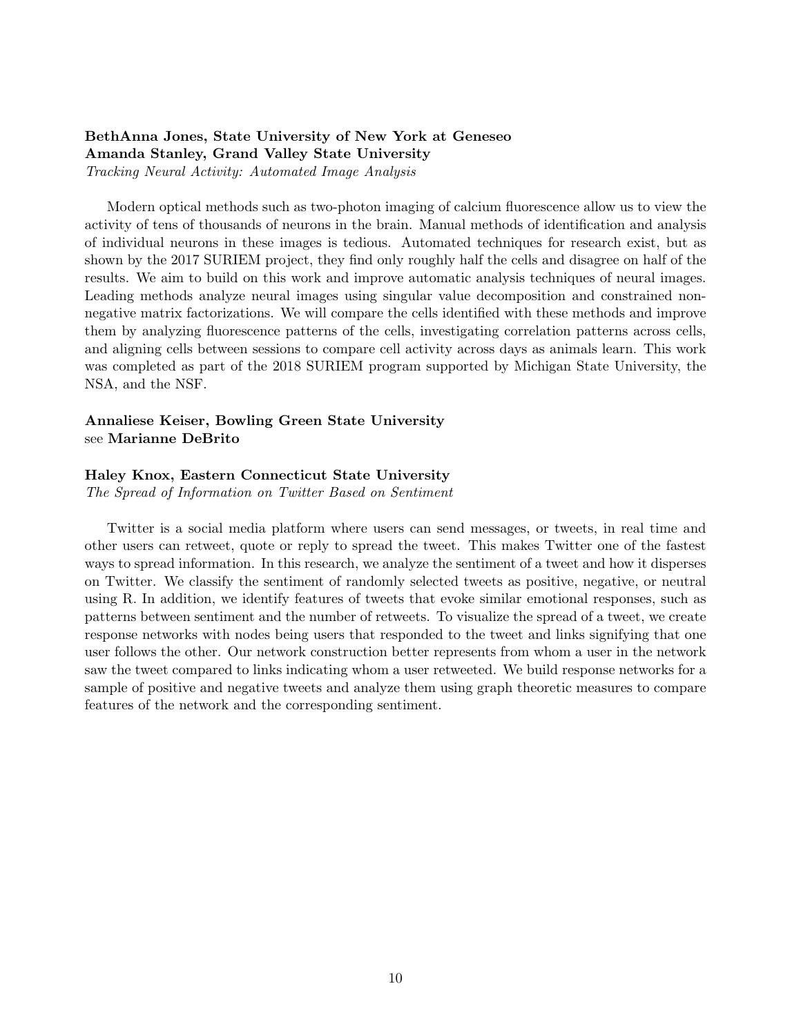## BethAnna Jones, State University of New York at Geneseo Amanda Stanley, Grand Valley State University Tracking Neural Activity: Automated Image Analysis

Modern optical methods such as two-photon imaging of calcium fluorescence allow us to view the activity of tens of thousands of neurons in the brain. Manual methods of identification and analysis of individual neurons in these images is tedious. Automated techniques for research exist, but as shown by the 2017 SURIEM project, they find only roughly half the cells and disagree on half of the results. We aim to build on this work and improve automatic analysis techniques of neural images. Leading methods analyze neural images using singular value decomposition and constrained nonnegative matrix factorizations. We will compare the cells identified with these methods and improve them by analyzing fluorescence patterns of the cells, investigating correlation patterns across cells, and aligning cells between sessions to compare cell activity across days as animals learn. This work was completed as part of the 2018 SURIEM program supported by Michigan State University, the NSA, and the NSF.

## Annaliese Keiser, Bowling Green State University see Marianne DeBrito

## Haley Knox, Eastern Connecticut State University

The Spread of Information on Twitter Based on Sentiment

Twitter is a social media platform where users can send messages, or tweets, in real time and other users can retweet, quote or reply to spread the tweet. This makes Twitter one of the fastest ways to spread information. In this research, we analyze the sentiment of a tweet and how it disperses on Twitter. We classify the sentiment of randomly selected tweets as positive, negative, or neutral using R. In addition, we identify features of tweets that evoke similar emotional responses, such as patterns between sentiment and the number of retweets. To visualize the spread of a tweet, we create response networks with nodes being users that responded to the tweet and links signifying that one user follows the other. Our network construction better represents from whom a user in the network saw the tweet compared to links indicating whom a user retweeted. We build response networks for a sample of positive and negative tweets and analyze them using graph theoretic measures to compare features of the network and the corresponding sentiment.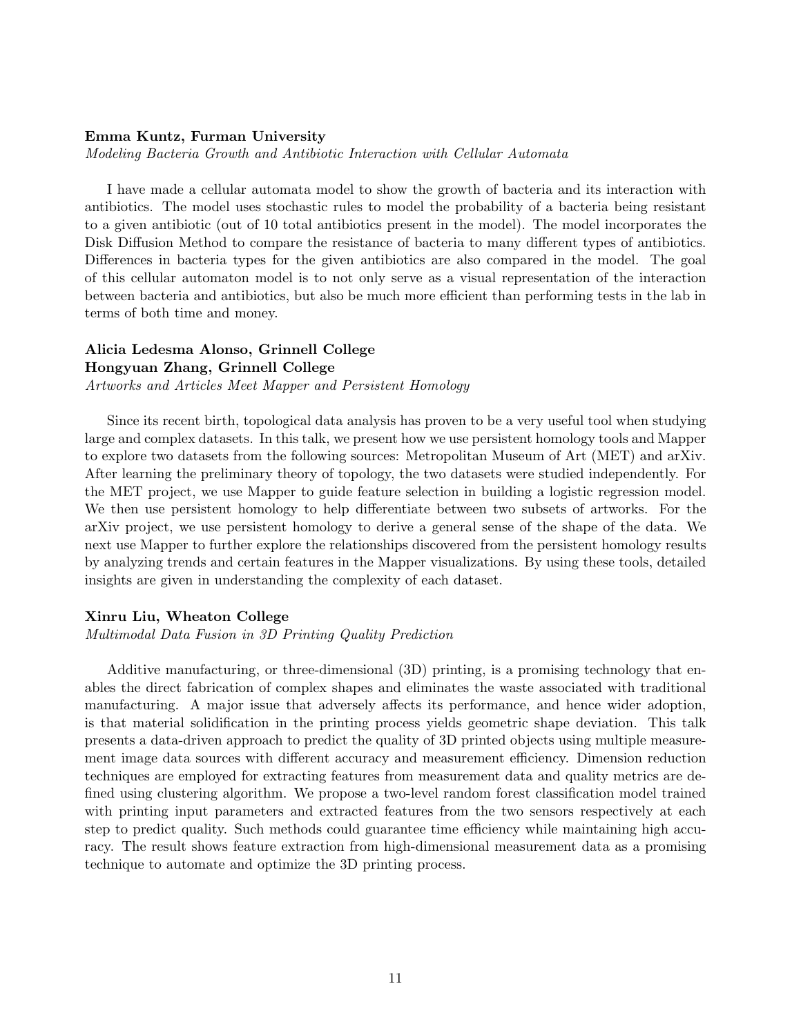## Emma Kuntz, Furman University

Modeling Bacteria Growth and Antibiotic Interaction with Cellular Automata

I have made a cellular automata model to show the growth of bacteria and its interaction with antibiotics. The model uses stochastic rules to model the probability of a bacteria being resistant to a given antibiotic (out of 10 total antibiotics present in the model). The model incorporates the Disk Diffusion Method to compare the resistance of bacteria to many different types of antibiotics. Differences in bacteria types for the given antibiotics are also compared in the model. The goal of this cellular automaton model is to not only serve as a visual representation of the interaction between bacteria and antibiotics, but also be much more efficient than performing tests in the lab in terms of both time and money.

## Alicia Ledesma Alonso, Grinnell College

Hongyuan Zhang, Grinnell College

Artworks and Articles Meet Mapper and Persistent Homology

Since its recent birth, topological data analysis has proven to be a very useful tool when studying large and complex datasets. In this talk, we present how we use persistent homology tools and Mapper to explore two datasets from the following sources: Metropolitan Museum of Art (MET) and arXiv. After learning the preliminary theory of topology, the two datasets were studied independently. For the MET project, we use Mapper to guide feature selection in building a logistic regression model. We then use persistent homology to help differentiate between two subsets of artworks. For the arXiv project, we use persistent homology to derive a general sense of the shape of the data. We next use Mapper to further explore the relationships discovered from the persistent homology results by analyzing trends and certain features in the Mapper visualizations. By using these tools, detailed insights are given in understanding the complexity of each dataset.

## Xinru Liu, Wheaton College

Multimodal Data Fusion in 3D Printing Quality Prediction

Additive manufacturing, or three-dimensional (3D) printing, is a promising technology that enables the direct fabrication of complex shapes and eliminates the waste associated with traditional manufacturing. A major issue that adversely affects its performance, and hence wider adoption, is that material solidification in the printing process yields geometric shape deviation. This talk presents a data-driven approach to predict the quality of 3D printed objects using multiple measurement image data sources with different accuracy and measurement efficiency. Dimension reduction techniques are employed for extracting features from measurement data and quality metrics are defined using clustering algorithm. We propose a two-level random forest classification model trained with printing input parameters and extracted features from the two sensors respectively at each step to predict quality. Such methods could guarantee time efficiency while maintaining high accuracy. The result shows feature extraction from high-dimensional measurement data as a promising technique to automate and optimize the 3D printing process.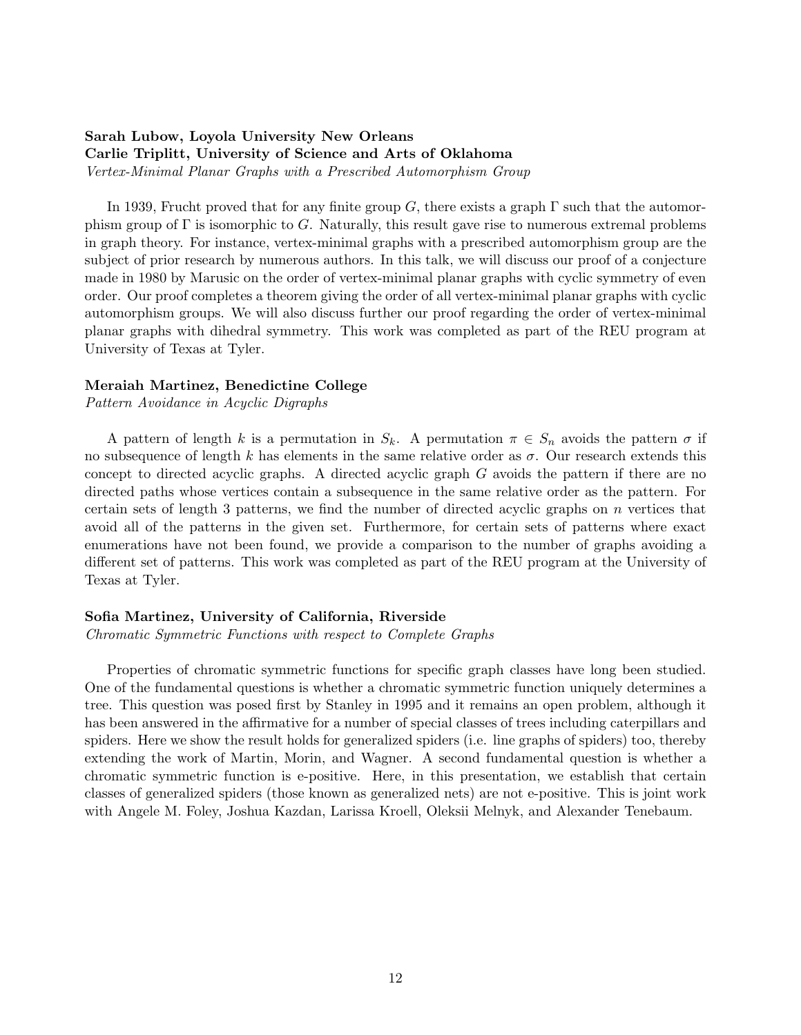## Sarah Lubow, Loyola University New Orleans Carlie Triplitt, University of Science and Arts of Oklahoma Vertex-Minimal Planar Graphs with a Prescribed Automorphism Group

In 1939, Frucht proved that for any finite group G, there exists a graph  $\Gamma$  such that the automorphism group of  $\Gamma$  is isomorphic to G. Naturally, this result gave rise to numerous extremal problems in graph theory. For instance, vertex-minimal graphs with a prescribed automorphism group are the subject of prior research by numerous authors. In this talk, we will discuss our proof of a conjecture made in 1980 by Marusic on the order of vertex-minimal planar graphs with cyclic symmetry of even order. Our proof completes a theorem giving the order of all vertex-minimal planar graphs with cyclic automorphism groups. We will also discuss further our proof regarding the order of vertex-minimal planar graphs with dihedral symmetry. This work was completed as part of the REU program at University of Texas at Tyler.

## Meraiah Martinez, Benedictine College

Pattern Avoidance in Acyclic Digraphs

A pattern of length k is a permutation in  $S_k$ . A permutation  $\pi \in S_n$  avoids the pattern  $\sigma$  if no subsequence of length k has elements in the same relative order as  $\sigma$ . Our research extends this concept to directed acyclic graphs. A directed acyclic graph G avoids the pattern if there are no directed paths whose vertices contain a subsequence in the same relative order as the pattern. For certain sets of length 3 patterns, we find the number of directed acyclic graphs on  $n$  vertices that avoid all of the patterns in the given set. Furthermore, for certain sets of patterns where exact enumerations have not been found, we provide a comparison to the number of graphs avoiding a different set of patterns. This work was completed as part of the REU program at the University of Texas at Tyler.

## Sofia Martinez, University of California, Riverside

Chromatic Symmetric Functions with respect to Complete Graphs

Properties of chromatic symmetric functions for specific graph classes have long been studied. One of the fundamental questions is whether a chromatic symmetric function uniquely determines a tree. This question was posed first by Stanley in 1995 and it remains an open problem, although it has been answered in the affirmative for a number of special classes of trees including caterpillars and spiders. Here we show the result holds for generalized spiders (i.e. line graphs of spiders) too, thereby extending the work of Martin, Morin, and Wagner. A second fundamental question is whether a chromatic symmetric function is e-positive. Here, in this presentation, we establish that certain classes of generalized spiders (those known as generalized nets) are not e-positive. This is joint work with Angele M. Foley, Joshua Kazdan, Larissa Kroell, Oleksii Melnyk, and Alexander Tenebaum.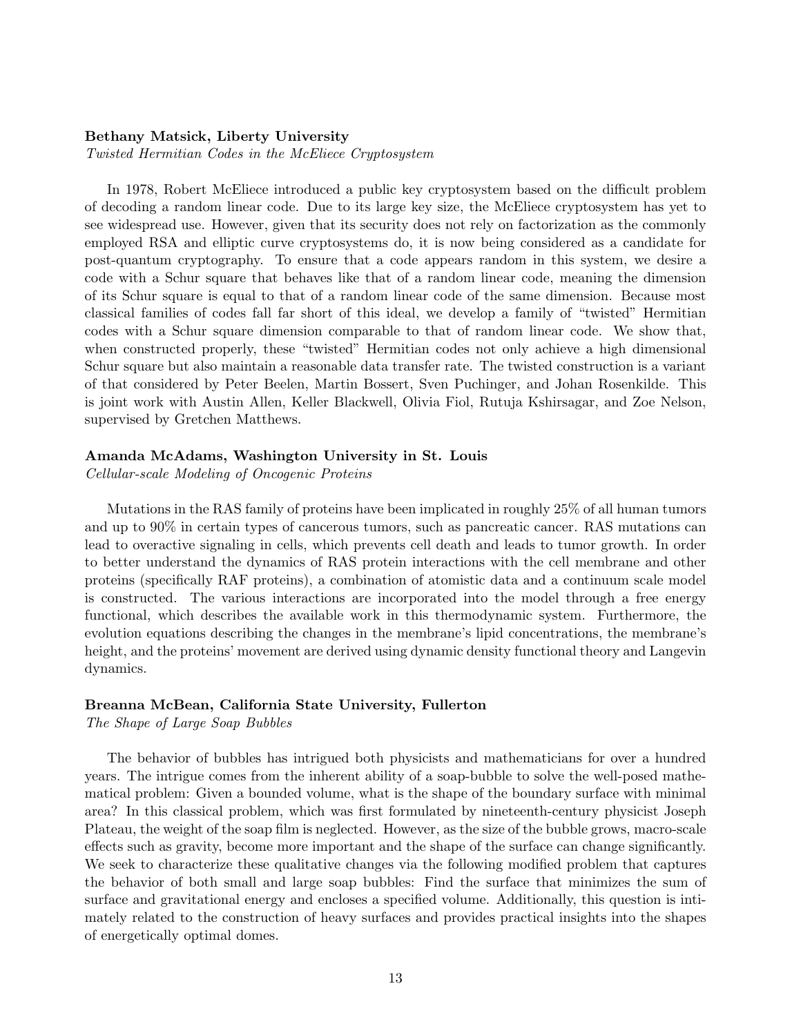#### Bethany Matsick, Liberty University

Twisted Hermitian Codes in the McEliece Cryptosystem

In 1978, Robert McEliece introduced a public key cryptosystem based on the difficult problem of decoding a random linear code. Due to its large key size, the McEliece cryptosystem has yet to see widespread use. However, given that its security does not rely on factorization as the commonly employed RSA and elliptic curve cryptosystems do, it is now being considered as a candidate for post-quantum cryptography. To ensure that a code appears random in this system, we desire a code with a Schur square that behaves like that of a random linear code, meaning the dimension of its Schur square is equal to that of a random linear code of the same dimension. Because most classical families of codes fall far short of this ideal, we develop a family of "twisted" Hermitian codes with a Schur square dimension comparable to that of random linear code. We show that, when constructed properly, these "twisted" Hermitian codes not only achieve a high dimensional Schur square but also maintain a reasonable data transfer rate. The twisted construction is a variant of that considered by Peter Beelen, Martin Bossert, Sven Puchinger, and Johan Rosenkilde. This is joint work with Austin Allen, Keller Blackwell, Olivia Fiol, Rutuja Kshirsagar, and Zoe Nelson, supervised by Gretchen Matthews.

## Amanda McAdams, Washington University in St. Louis

Cellular-scale Modeling of Oncogenic Proteins

Mutations in the RAS family of proteins have been implicated in roughly 25% of all human tumors and up to 90% in certain types of cancerous tumors, such as pancreatic cancer. RAS mutations can lead to overactive signaling in cells, which prevents cell death and leads to tumor growth. In order to better understand the dynamics of RAS protein interactions with the cell membrane and other proteins (specifically RAF proteins), a combination of atomistic data and a continuum scale model is constructed. The various interactions are incorporated into the model through a free energy functional, which describes the available work in this thermodynamic system. Furthermore, the evolution equations describing the changes in the membrane's lipid concentrations, the membrane's height, and the proteins' movement are derived using dynamic density functional theory and Langevin dynamics.

## Breanna McBean, California State University, Fullerton

The Shape of Large Soap Bubbles

The behavior of bubbles has intrigued both physicists and mathematicians for over a hundred years. The intrigue comes from the inherent ability of a soap-bubble to solve the well-posed mathematical problem: Given a bounded volume, what is the shape of the boundary surface with minimal area? In this classical problem, which was first formulated by nineteenth-century physicist Joseph Plateau, the weight of the soap film is neglected. However, as the size of the bubble grows, macro-scale effects such as gravity, become more important and the shape of the surface can change significantly. We seek to characterize these qualitative changes via the following modified problem that captures the behavior of both small and large soap bubbles: Find the surface that minimizes the sum of surface and gravitational energy and encloses a specified volume. Additionally, this question is intimately related to the construction of heavy surfaces and provides practical insights into the shapes of energetically optimal domes.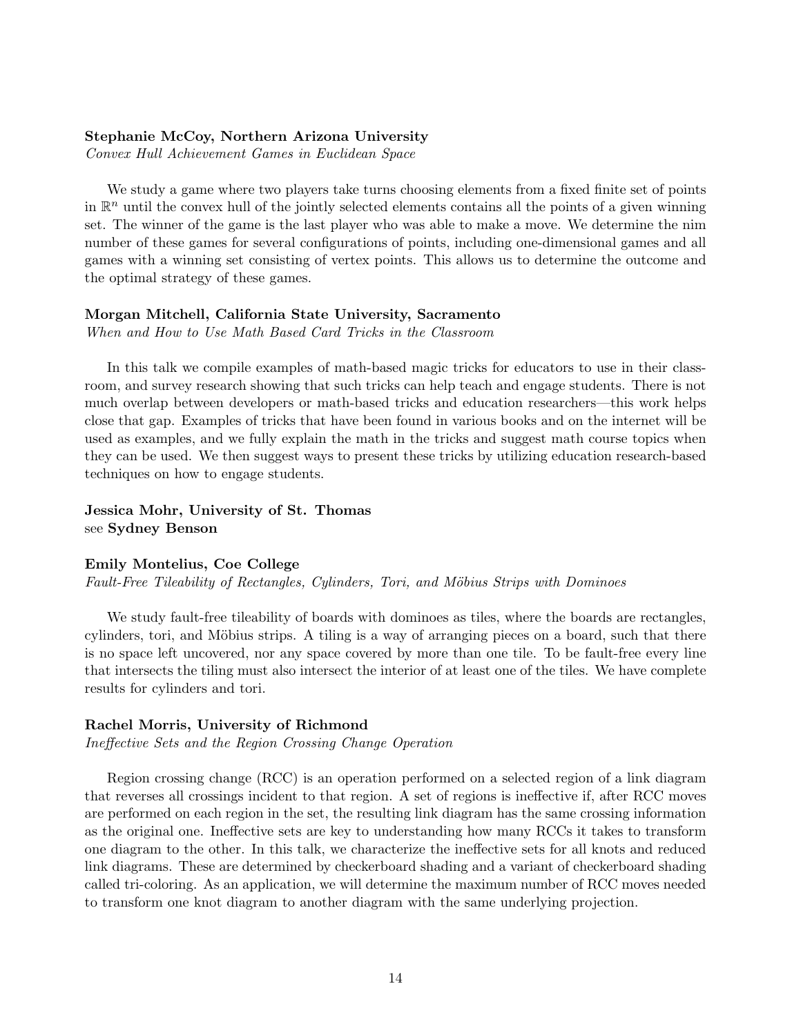## Stephanie McCoy, Northern Arizona University

Convex Hull Achievement Games in Euclidean Space

We study a game where two players take turns choosing elements from a fixed finite set of points in  $\mathbb{R}^n$  until the convex hull of the jointly selected elements contains all the points of a given winning set. The winner of the game is the last player who was able to make a move. We determine the nim number of these games for several configurations of points, including one-dimensional games and all games with a winning set consisting of vertex points. This allows us to determine the outcome and the optimal strategy of these games.

## Morgan Mitchell, California State University, Sacramento

When and How to Use Math Based Card Tricks in the Classroom

In this talk we compile examples of math-based magic tricks for educators to use in their classroom, and survey research showing that such tricks can help teach and engage students. There is not much overlap between developers or math-based tricks and education researchers—this work helps close that gap. Examples of tricks that have been found in various books and on the internet will be used as examples, and we fully explain the math in the tricks and suggest math course topics when they can be used. We then suggest ways to present these tricks by utilizing education research-based techniques on how to engage students.

## Jessica Mohr, University of St. Thomas see Sydney Benson

#### Emily Montelius, Coe College

Fault-Free Tileability of Rectangles, Cylinders, Tori, and Möbius Strips with Dominoes

We study fault-free tileability of boards with dominoes as tiles, where the boards are rectangles, cylinders, tori, and Möbius strips. A tiling is a way of arranging pieces on a board, such that there is no space left uncovered, nor any space covered by more than one tile. To be fault-free every line that intersects the tiling must also intersect the interior of at least one of the tiles. We have complete results for cylinders and tori.

## Rachel Morris, University of Richmond

Ineffective Sets and the Region Crossing Change Operation

Region crossing change (RCC) is an operation performed on a selected region of a link diagram that reverses all crossings incident to that region. A set of regions is ineffective if, after RCC moves are performed on each region in the set, the resulting link diagram has the same crossing information as the original one. Ineffective sets are key to understanding how many RCCs it takes to transform one diagram to the other. In this talk, we characterize the ineffective sets for all knots and reduced link diagrams. These are determined by checkerboard shading and a variant of checkerboard shading called tri-coloring. As an application, we will determine the maximum number of RCC moves needed to transform one knot diagram to another diagram with the same underlying projection.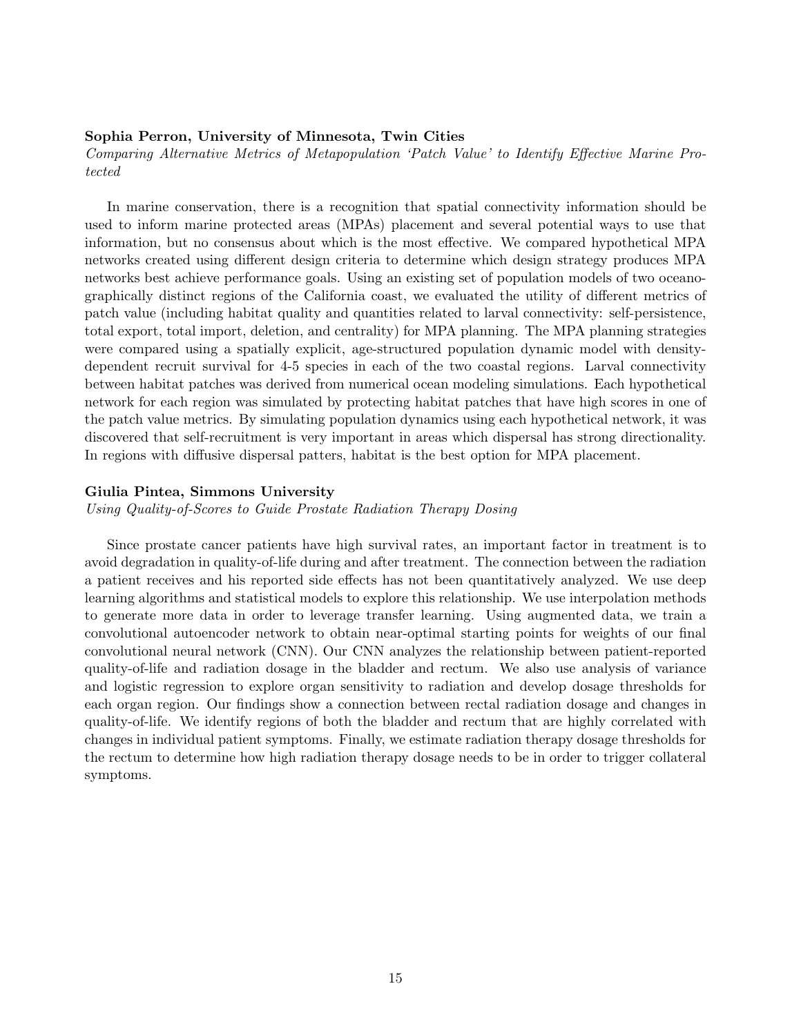#### Sophia Perron, University of Minnesota, Twin Cities

Comparing Alternative Metrics of Metapopulation 'Patch Value' to Identify Effective Marine Protected

In marine conservation, there is a recognition that spatial connectivity information should be used to inform marine protected areas (MPAs) placement and several potential ways to use that information, but no consensus about which is the most effective. We compared hypothetical MPA networks created using different design criteria to determine which design strategy produces MPA networks best achieve performance goals. Using an existing set of population models of two oceanographically distinct regions of the California coast, we evaluated the utility of different metrics of patch value (including habitat quality and quantities related to larval connectivity: self-persistence, total export, total import, deletion, and centrality) for MPA planning. The MPA planning strategies were compared using a spatially explicit, age-structured population dynamic model with densitydependent recruit survival for 4-5 species in each of the two coastal regions. Larval connectivity between habitat patches was derived from numerical ocean modeling simulations. Each hypothetical network for each region was simulated by protecting habitat patches that have high scores in one of the patch value metrics. By simulating population dynamics using each hypothetical network, it was discovered that self-recruitment is very important in areas which dispersal has strong directionality. In regions with diffusive dispersal patters, habitat is the best option for MPA placement.

#### Giulia Pintea, Simmons University

Using Quality-of-Scores to Guide Prostate Radiation Therapy Dosing

Since prostate cancer patients have high survival rates, an important factor in treatment is to avoid degradation in quality-of-life during and after treatment. The connection between the radiation a patient receives and his reported side effects has not been quantitatively analyzed. We use deep learning algorithms and statistical models to explore this relationship. We use interpolation methods to generate more data in order to leverage transfer learning. Using augmented data, we train a convolutional autoencoder network to obtain near-optimal starting points for weights of our final convolutional neural network (CNN). Our CNN analyzes the relationship between patient-reported quality-of-life and radiation dosage in the bladder and rectum. We also use analysis of variance and logistic regression to explore organ sensitivity to radiation and develop dosage thresholds for each organ region. Our findings show a connection between rectal radiation dosage and changes in quality-of-life. We identify regions of both the bladder and rectum that are highly correlated with changes in individual patient symptoms. Finally, we estimate radiation therapy dosage thresholds for the rectum to determine how high radiation therapy dosage needs to be in order to trigger collateral symptoms.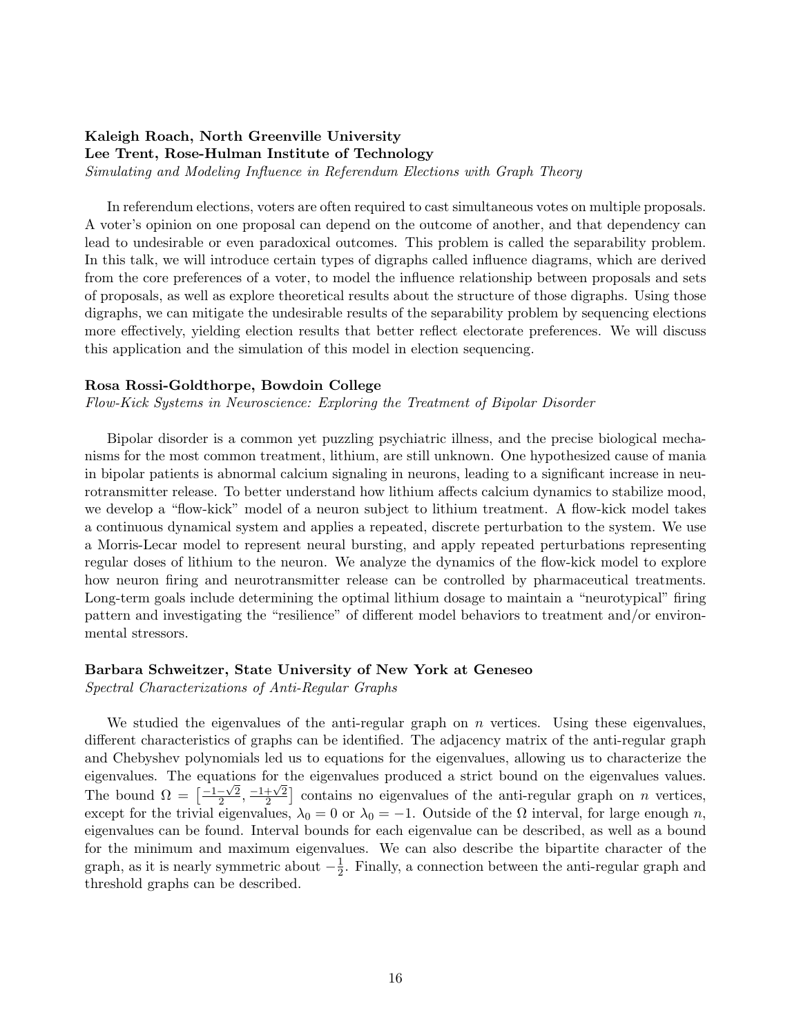## Kaleigh Roach, North Greenville University Lee Trent, Rose-Hulman Institute of Technology

Simulating and Modeling Influence in Referendum Elections with Graph Theory

In referendum elections, voters are often required to cast simultaneous votes on multiple proposals. A voter's opinion on one proposal can depend on the outcome of another, and that dependency can lead to undesirable or even paradoxical outcomes. This problem is called the separability problem. In this talk, we will introduce certain types of digraphs called influence diagrams, which are derived from the core preferences of a voter, to model the influence relationship between proposals and sets of proposals, as well as explore theoretical results about the structure of those digraphs. Using those digraphs, we can mitigate the undesirable results of the separability problem by sequencing elections more effectively, yielding election results that better reflect electorate preferences. We will discuss this application and the simulation of this model in election sequencing.

## Rosa Rossi-Goldthorpe, Bowdoin College

Flow-Kick Systems in Neuroscience: Exploring the Treatment of Bipolar Disorder

Bipolar disorder is a common yet puzzling psychiatric illness, and the precise biological mechanisms for the most common treatment, lithium, are still unknown. One hypothesized cause of mania in bipolar patients is abnormal calcium signaling in neurons, leading to a significant increase in neurotransmitter release. To better understand how lithium affects calcium dynamics to stabilize mood, we develop a "flow-kick" model of a neuron subject to lithium treatment. A flow-kick model takes a continuous dynamical system and applies a repeated, discrete perturbation to the system. We use a Morris-Lecar model to represent neural bursting, and apply repeated perturbations representing regular doses of lithium to the neuron. We analyze the dynamics of the flow-kick model to explore how neuron firing and neurotransmitter release can be controlled by pharmaceutical treatments. Long-term goals include determining the optimal lithium dosage to maintain a "neurotypical" firing pattern and investigating the "resilience" of different model behaviors to treatment and/or environmental stressors.

## Barbara Schweitzer, State University of New York at Geneseo

Spectral Characterizations of Anti-Regular Graphs

We studied the eigenvalues of the anti-regular graph on  $n$  vertices. Using these eigenvalues, different characteristics of graphs can be identified. The adjacency matrix of the anti-regular graph and Chebyshev polynomials led us to equations for the eigenvalues, allowing us to characterize the eigenvalues. The equations for the eigenvalues produced a strict bound on the eigenvalues values. The bound  $\Omega = \left[\frac{-1-\sqrt{2}}{2}\right]$  $\frac{-\sqrt{2}}{2}, \frac{-1+\sqrt{2}}{2}$  $\frac{1+\sqrt{2}}{2}$  contains no eigenvalues of the anti-regular graph on *n* vertices, except for the trivial eigenvalues,  $\lambda_0 = 0$  or  $\lambda_0 = -1$ . Outside of the  $\Omega$  interval, for large enough n, eigenvalues can be found. Interval bounds for each eigenvalue can be described, as well as a bound for the minimum and maximum eigenvalues. We can also describe the bipartite character of the graph, as it is nearly symmetric about  $-\frac{1}{2}$  $\frac{1}{2}$ . Finally, a connection between the anti-regular graph and threshold graphs can be described.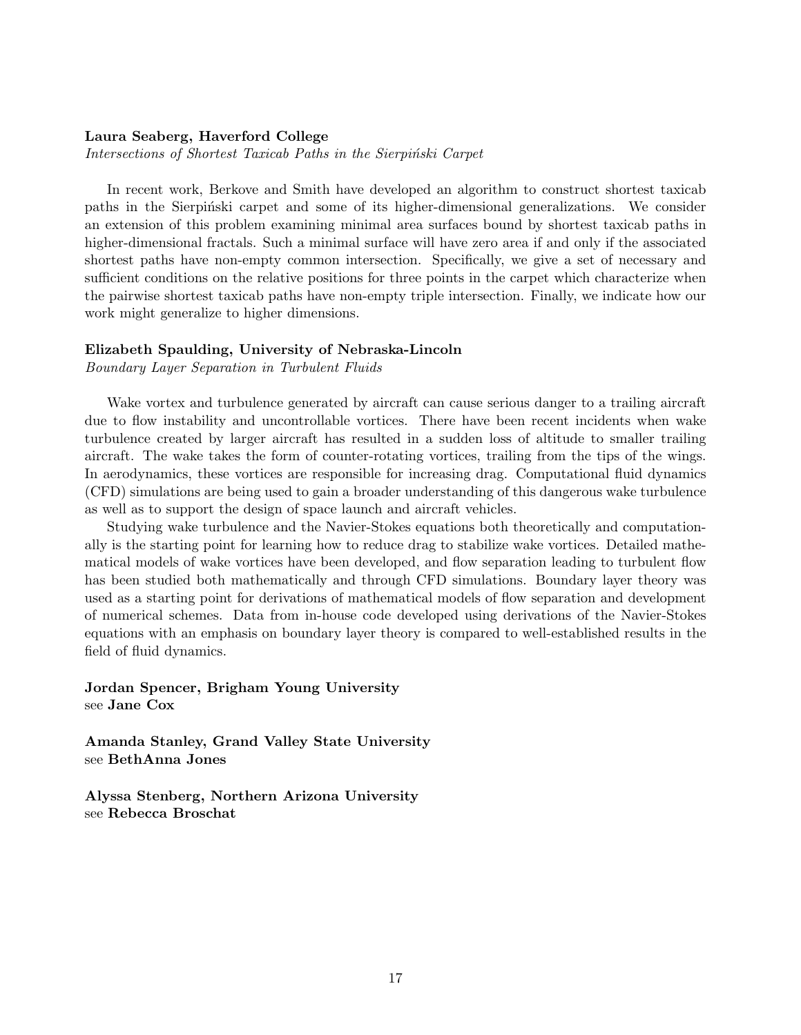#### Laura Seaberg, Haverford College

Intersections of Shortest Taxicab Paths in the Sierpinski Carpet

In recent work, Berkove and Smith have developed an algorithm to construct shortest taxicab paths in the Sierpinski carpet and some of its higher-dimensional generalizations. We consider an extension of this problem examining minimal area surfaces bound by shortest taxicab paths in higher-dimensional fractals. Such a minimal surface will have zero area if and only if the associated shortest paths have non-empty common intersection. Specifically, we give a set of necessary and sufficient conditions on the relative positions for three points in the carpet which characterize when the pairwise shortest taxicab paths have non-empty triple intersection. Finally, we indicate how our work might generalize to higher dimensions.

#### Elizabeth Spaulding, University of Nebraska-Lincoln

Boundary Layer Separation in Turbulent Fluids

Wake vortex and turbulence generated by aircraft can cause serious danger to a trailing aircraft due to flow instability and uncontrollable vortices. There have been recent incidents when wake turbulence created by larger aircraft has resulted in a sudden loss of altitude to smaller trailing aircraft. The wake takes the form of counter-rotating vortices, trailing from the tips of the wings. In aerodynamics, these vortices are responsible for increasing drag. Computational fluid dynamics (CFD) simulations are being used to gain a broader understanding of this dangerous wake turbulence as well as to support the design of space launch and aircraft vehicles.

Studying wake turbulence and the Navier-Stokes equations both theoretically and computationally is the starting point for learning how to reduce drag to stabilize wake vortices. Detailed mathematical models of wake vortices have been developed, and flow separation leading to turbulent flow has been studied both mathematically and through CFD simulations. Boundary layer theory was used as a starting point for derivations of mathematical models of flow separation and development of numerical schemes. Data from in-house code developed using derivations of the Navier-Stokes equations with an emphasis on boundary layer theory is compared to well-established results in the field of fluid dynamics.

Jordan Spencer, Brigham Young University see Jane Cox

Amanda Stanley, Grand Valley State University see BethAnna Jones

Alyssa Stenberg, Northern Arizona University see Rebecca Broschat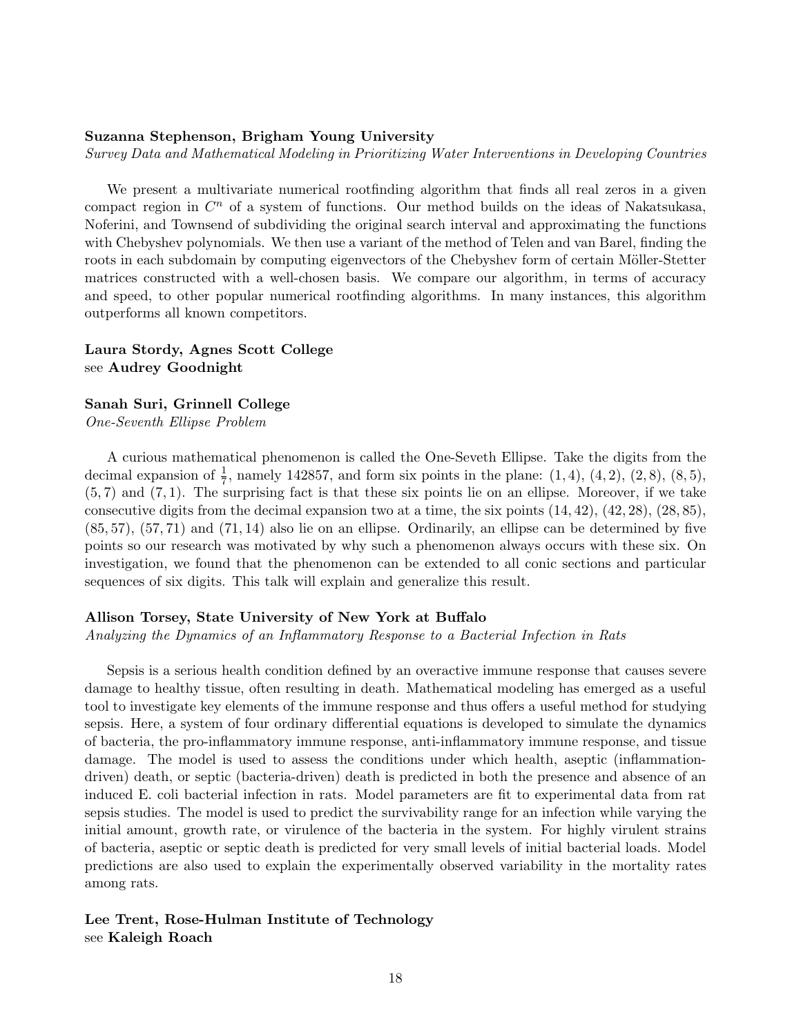## Suzanna Stephenson, Brigham Young University

Survey Data and Mathematical Modeling in Prioritizing Water Interventions in Developing Countries

We present a multivariate numerical rootfinding algorithm that finds all real zeros in a given compact region in  $C<sup>n</sup>$  of a system of functions. Our method builds on the ideas of Nakatsukasa, Noferini, and Townsend of subdividing the original search interval and approximating the functions with Chebyshev polynomials. We then use a variant of the method of Telen and van Barel, finding the roots in each subdomain by computing eigenvectors of the Chebyshev form of certain Möller-Stetter matrices constructed with a well-chosen basis. We compare our algorithm, in terms of accuracy and speed, to other popular numerical rootfinding algorithms. In many instances, this algorithm outperforms all known competitors.

## Laura Stordy, Agnes Scott College see Audrey Goodnight

## Sanah Suri, Grinnell College

One-Seventh Ellipse Problem

A curious mathematical phenomenon is called the One-Seveth Ellipse. Take the digits from the decimal expansion of  $\frac{1}{7}$ , namely 142857, and form six points in the plane:  $(1, 4)$ ,  $(4, 2)$ ,  $(2, 8)$ ,  $(8, 5)$ ,  $(5, 7)$  and  $(7, 1)$ . The surprising fact is that these six points lie on an ellipse. Moreover, if we take consecutive digits from the decimal expansion two at a time, the six points  $(14, 42)$ ,  $(42, 28)$ ,  $(28, 85)$ , (85, 57), (57, 71) and (71, 14) also lie on an ellipse. Ordinarily, an ellipse can be determined by five points so our research was motivated by why such a phenomenon always occurs with these six. On investigation, we found that the phenomenon can be extended to all conic sections and particular sequences of six digits. This talk will explain and generalize this result.

## Allison Torsey, State University of New York at Buffalo

Analyzing the Dynamics of an Inflammatory Response to a Bacterial Infection in Rats

Sepsis is a serious health condition defined by an overactive immune response that causes severe damage to healthy tissue, often resulting in death. Mathematical modeling has emerged as a useful tool to investigate key elements of the immune response and thus offers a useful method for studying sepsis. Here, a system of four ordinary differential equations is developed to simulate the dynamics of bacteria, the pro-inflammatory immune response, anti-inflammatory immune response, and tissue damage. The model is used to assess the conditions under which health, aseptic (inflammationdriven) death, or septic (bacteria-driven) death is predicted in both the presence and absence of an induced E. coli bacterial infection in rats. Model parameters are fit to experimental data from rat sepsis studies. The model is used to predict the survivability range for an infection while varying the initial amount, growth rate, or virulence of the bacteria in the system. For highly virulent strains of bacteria, aseptic or septic death is predicted for very small levels of initial bacterial loads. Model predictions are also used to explain the experimentally observed variability in the mortality rates among rats.

## Lee Trent, Rose-Hulman Institute of Technology see Kaleigh Roach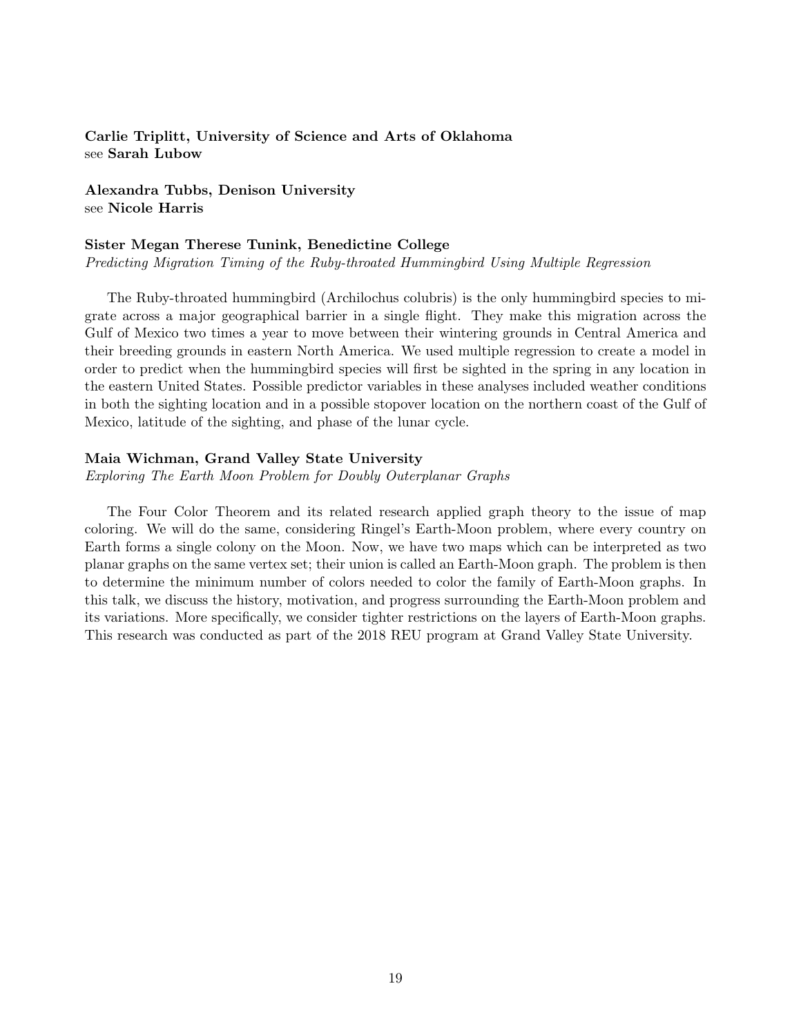Carlie Triplitt, University of Science and Arts of Oklahoma see Sarah Lubow

Alexandra Tubbs, Denison University see Nicole Harris

## Sister Megan Therese Tunink, Benedictine College

Predicting Migration Timing of the Ruby-throated Hummingbird Using Multiple Regression

The Ruby-throated hummingbird (Archilochus colubris) is the only hummingbird species to migrate across a major geographical barrier in a single flight. They make this migration across the Gulf of Mexico two times a year to move between their wintering grounds in Central America and their breeding grounds in eastern North America. We used multiple regression to create a model in order to predict when the hummingbird species will first be sighted in the spring in any location in the eastern United States. Possible predictor variables in these analyses included weather conditions in both the sighting location and in a possible stopover location on the northern coast of the Gulf of Mexico, latitude of the sighting, and phase of the lunar cycle.

## Maia Wichman, Grand Valley State University

Exploring The Earth Moon Problem for Doubly Outerplanar Graphs

The Four Color Theorem and its related research applied graph theory to the issue of map coloring. We will do the same, considering Ringel's Earth-Moon problem, where every country on Earth forms a single colony on the Moon. Now, we have two maps which can be interpreted as two planar graphs on the same vertex set; their union is called an Earth-Moon graph. The problem is then to determine the minimum number of colors needed to color the family of Earth-Moon graphs. In this talk, we discuss the history, motivation, and progress surrounding the Earth-Moon problem and its variations. More specifically, we consider tighter restrictions on the layers of Earth-Moon graphs. This research was conducted as part of the 2018 REU program at Grand Valley State University.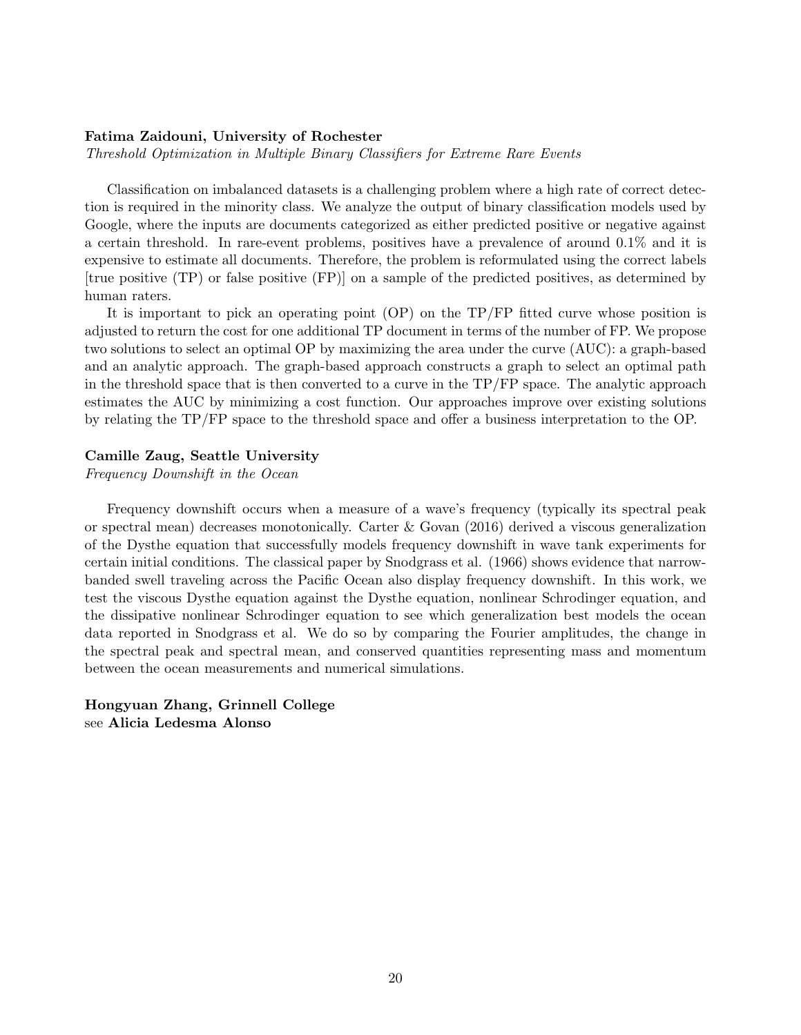#### Fatima Zaidouni, University of Rochester

Threshold Optimization in Multiple Binary Classifiers for Extreme Rare Events

Classification on imbalanced datasets is a challenging problem where a high rate of correct detection is required in the minority class. We analyze the output of binary classification models used by Google, where the inputs are documents categorized as either predicted positive or negative against a certain threshold. In rare-event problems, positives have a prevalence of around 0.1% and it is expensive to estimate all documents. Therefore, the problem is reformulated using the correct labels [true positive (TP) or false positive (FP)] on a sample of the predicted positives, as determined by human raters.

It is important to pick an operating point (OP) on the TP/FP fitted curve whose position is adjusted to return the cost for one additional TP document in terms of the number of FP. We propose two solutions to select an optimal OP by maximizing the area under the curve (AUC): a graph-based and an analytic approach. The graph-based approach constructs a graph to select an optimal path in the threshold space that is then converted to a curve in the TP/FP space. The analytic approach estimates the AUC by minimizing a cost function. Our approaches improve over existing solutions by relating the TP/FP space to the threshold space and offer a business interpretation to the OP.

## Camille Zaug, Seattle University

Frequency Downshift in the Ocean

Frequency downshift occurs when a measure of a wave's frequency (typically its spectral peak or spectral mean) decreases monotonically. Carter & Govan (2016) derived a viscous generalization of the Dysthe equation that successfully models frequency downshift in wave tank experiments for certain initial conditions. The classical paper by Snodgrass et al. (1966) shows evidence that narrowbanded swell traveling across the Pacific Ocean also display frequency downshift. In this work, we test the viscous Dysthe equation against the Dysthe equation, nonlinear Schrodinger equation, and the dissipative nonlinear Schrodinger equation to see which generalization best models the ocean data reported in Snodgrass et al. We do so by comparing the Fourier amplitudes, the change in the spectral peak and spectral mean, and conserved quantities representing mass and momentum between the ocean measurements and numerical simulations.

Hongyuan Zhang, Grinnell College see Alicia Ledesma Alonso